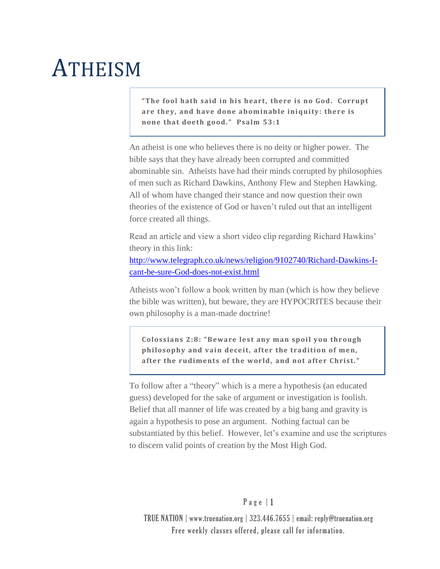## **ATHEISM**

**"The fool hath said in his heart, there is no God. Corrupt are they, and have done abominable iniquity: there is none that doeth good." Psalm 53:1** 

An atheist is one who believes there is no deity or higher power. The bible says that they have already been corrupted and committed abominable sin. Atheists have had their minds corrupted by philosophies of men such as Richard Dawkins, Anthony Flew and Stephen Hawking. All of whom have changed their stance and now question their own theories of the existence of God or haven't ruled out that an intelligent force created all things.

Read an article and view a short video clip regarding Richard Hawkins' theory in this link:

[http://www.telegraph.co.uk/news/religion/9102740/Richard-Dawkins-I](http://www.telegraph.co.uk/news/religion/9102740/Richard-Dawkins-I-cant-be-sure-God-does-not-exist.html)[cant-be-sure-God-does-not-exist.html](http://www.telegraph.co.uk/news/religion/9102740/Richard-Dawkins-I-cant-be-sure-God-does-not-exist.html)

Atheists won't follow a book written by man (which is how they believe the bible was written), but beware, they are HYPOCRITES because their own philosophy is a man-made doctrine!

**Colossians 2:8: "Beware lest any man spoil you through philosophy and vain deceit, after the tradition of men, after the rudiments of the world, and not after Christ."** 

To follow after a "theory" which is a mere a hypothesis (an educated guess) developed for the sake of argument or investigation is foolish. Belief that all manner of life was created by a big bang and gravity is again a hypothesis to pose an argument. Nothing factual can be substantiated by this belief. However, let's examine and use the scriptures to discern valid points of creation by the Most High God.

## $P$  a g e  $|1$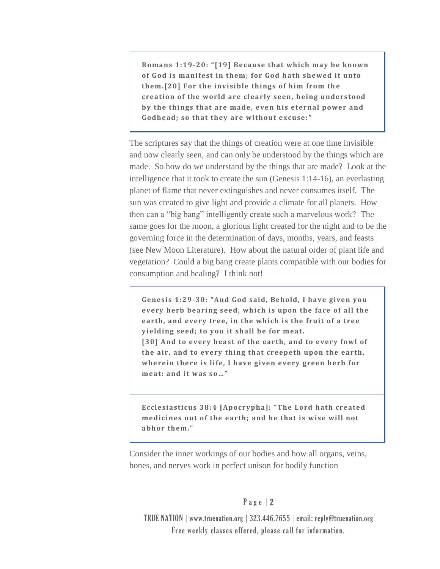**Romans 1:19-20: "[19] Because that which may be known of G od is manifest in them; for God h ath shewed it unto them.[20] For the invisible things of him from th e creation of the wor ld are clearly seen, being understood by the things that are made, even his eternal power and Godhead; so that they are without excuse:"** 

The scriptures say that the things of creation were at one time invisible and now clearly seen, and can only be understood by the things which are made. So how do we understand by the things that are made? Look at the intelligence that it took to create the sun (Genesis 1:14-16), an everlasting planet of flame that never extinguishes and never consumes itself. The sun was created to give light and provide a climate for all planets. How then can a "big bang" intelligently create such a marvelous work? The same goes for the moon, a glorious light created for the night and to be the governing force in the determination of days, months, years, and feasts (see New Moon Literature). How about the natural order of plant life and vegetation? Could a big bang create plants compatible with our bodies for consumption and healing? I think not!

**Genesis 1:29-30: "And God said, Behold, I have given you**  every herb bearing seed, which is upon the face of all the **earth, and every tree, in the which is the fruit of a tree yielding seed; to you it shall be for meat. [30] And to every beast of the earth, and to every fowl of the air, and to every thing that creepeth upon the earth, wherein there is life, I have given every green herb for meat: and it was so…"**

**Ecclesiasticus 38:4 [Apocrypha]: "The Lord hath created medicines out of the earth; and he that is wise will not abhor them."**

Consider the inner workings of our bodies and how all organs, veins, bones, and nerves work in perfect unison for bodily function

## P a g e | 2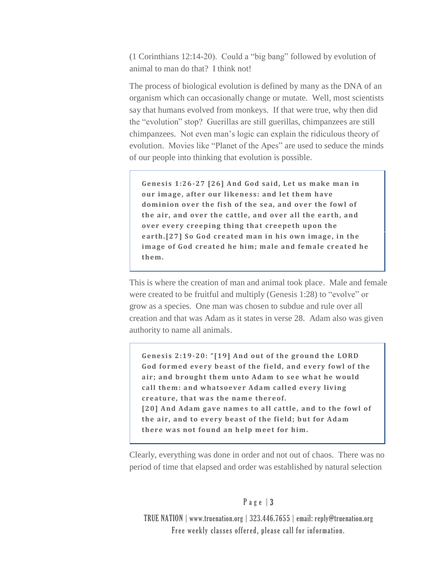(1 Corinthians 12:14-20). Could a "big bang" followed by evolution of animal to man do that? I think not!

The process of biological evolution is defined by many as the DNA of an organism which can occasionally change or mutate. Well, most scientists say that humans evolved from monkeys. If that were true, why then did the "evolution" stop? Guerillas are still guerillas, chimpanzees are still chimpanzees. Not even man's logic can explain the ridiculous theory of evolution. Movies like "Planet of the Apes" are used to seduce the minds of our people into thinking that evolution is possible.

**Genesis 1:26-27 [26] And God said, Let us make man in our image, after our likeness: and let them have dominion over the fish of the sea, and over the fowl of the air, and over the cattle, and over all the earth, and over every creeping thing that creepeth upon the earth.[27] So God created man in his own image, in the image of God created he him; male and female created he them.** 

This is where the creation of man and animal took place. Male and female were created to be fruitful and multiply (Genesis 1:28) to "evolve" or grow as a species. One man was chosen to subdue and rule over all creation and that was Adam as it states in verse 28. Adam also was given authority to name all animals.

**Genesis 2:19-20: "[19] And out of the ground the LORD**  God formed every beast of the field, and every fowl of the **air; and brought them unto Adam to see what he would call them: and whatsoever Adam called every living creature, that was the name thereof.** [20] And Adam gave names to all cattle, and to the fowl of **the air, and to every beast of the field; but for Adam there was not found an help meet for him.**

Clearly, everything was done in order and not out of chaos. There was no period of time that elapsed and order was established by natural selection

## P a g e | 3